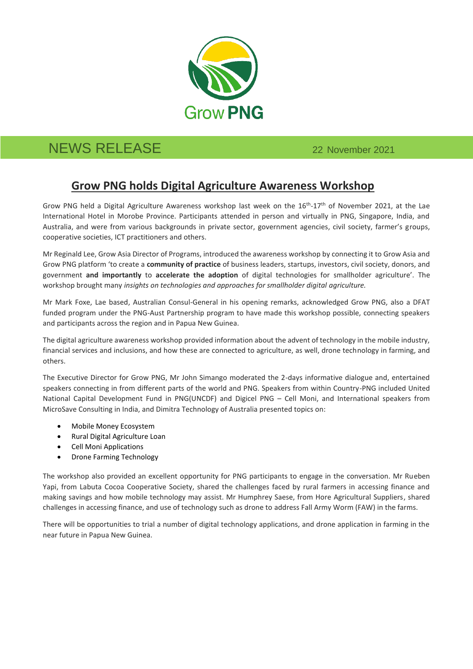

## NEWS RELEASE 22 November 2021

## **Grow PNG holds Digital Agriculture Awareness Workshop**

Grow PNG held a Digital Agriculture Awareness workshop last week on the 16<sup>th</sup>-17<sup>th</sup> of November 2021, at the Lae International Hotel in Morobe Province. Participants attended in person and virtually in PNG, Singapore, India, and Australia, and were from various backgrounds in private sector, government agencies, civil society, farmer's groups, cooperative societies, ICT practitioners and others.

Mr Reginald Lee, Grow Asia Director of Programs, introduced the awareness workshop by connecting it to Grow Asia and Grow PNG platform 'to create a **community of practice** of business leaders, startups, investors, civil society, donors, and government **and importantly** to **accelerate the adoption** of digital technologies for smallholder agriculture'. The workshop brought many *insights on technologies and approaches for smallholder digital agriculture.*

Mr Mark Foxe, Lae based, Australian Consul-General in his opening remarks, acknowledged Grow PNG, also a DFAT funded program under the PNG-Aust Partnership program to have made this workshop possible, connecting speakers and participants across the region and in Papua New Guinea.

The digital agriculture awareness workshop provided information about the advent of technology in the mobile industry, financial services and inclusions, and how these are connected to agriculture, as well, drone technology in farming, and others.

The Executive Director for Grow PNG, Mr John Simango moderated the 2-days informative dialogue and, entertained speakers connecting in from different parts of the world and PNG. Speakers from within Country-PNG included United National Capital Development Fund in PNG(UNCDF) and Digicel PNG – Cell Moni, and International speakers from MicroSave Consulting in India, and Dimitra Technology of Australia presented topics on:

- Mobile Money Ecosystem
- Rural Digital Agriculture Loan
- Cell Moni Applications
- Drone Farming Technology

The workshop also provided an excellent opportunity for PNG participants to engage in the conversation. Mr Rueben Yapi, from Labuta Cocoa Cooperative Society, shared the challenges faced by rural farmers in accessing finance and making savings and how mobile technology may assist. Mr Humphrey Saese, from Hore Agricultural Suppliers, shared challenges in accessing finance, and use of technology such as drone to address Fall Army Worm (FAW) in the farms.

There will be opportunities to trial a number of digital technology applications, and drone application in farming in the near future in Papua New Guinea.